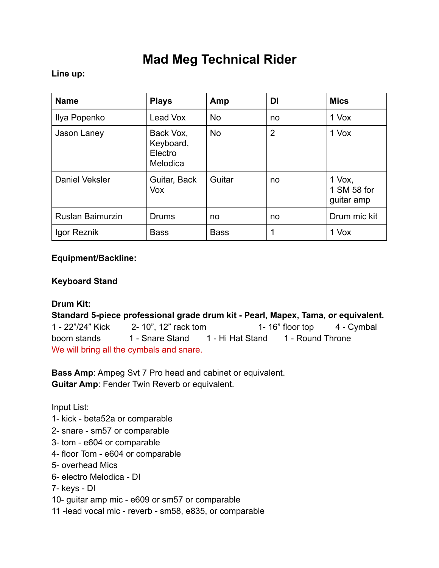# **Mad Meg Technical Rider**

### **Line up:**

| <b>Name</b>             | <b>Plays</b>                                  | Amp         | DI             | <b>Mics</b>                           |
|-------------------------|-----------------------------------------------|-------------|----------------|---------------------------------------|
| Ilya Popenko            | Lead Vox                                      | <b>No</b>   | no             | 1 Vox                                 |
| Jason Laney             | Back Vox,<br>Keyboard,<br>Electro<br>Melodica | <b>No</b>   | $\overline{2}$ | 1 Vox                                 |
| Daniel Veksler          | Guitar, Back<br>Vox                           | Guitar      | no             | $1$ Vox,<br>1 SM 58 for<br>guitar amp |
| <b>Ruslan Baimurzin</b> | <b>Drums</b>                                  | no          | no             | Drum mic kit                          |
| Igor Reznik             | <b>Bass</b>                                   | <b>Bass</b> |                | 1 Vox                                 |

#### **Equipment/Backline:**

### **Keyboard Stand**

## **Drum Kit:**

**Standard 5-piece professional grade drum kit - Pearl, Mapex, Tama, or equivalent.**  1 - 22"/24" Kick 2- 10", 12" rack tom 1- 16" floor top 4 - Cymbal boom stands 1 - Snare Stand 1 - Hi Hat Stand 1 - Round Throne We will bring all the cymbals and snare.

**Bass Amp**: Ampeg Svt 7 Pro head and cabinet or equivalent. **Guitar Amp**: Fender Twin Reverb or equivalent.

Input List:

- 1- kick beta52a or comparable
- 2- snare sm57 or comparable
- 3- tom e604 or comparable
- 4- floor Tom e604 or comparable
- 5- overhead Mics
- 6- electro Melodica DI
- 7- keys DI
- 10- guitar amp mic e609 or sm57 or comparable
- 11 -lead vocal mic reverb sm58, e835, or comparable